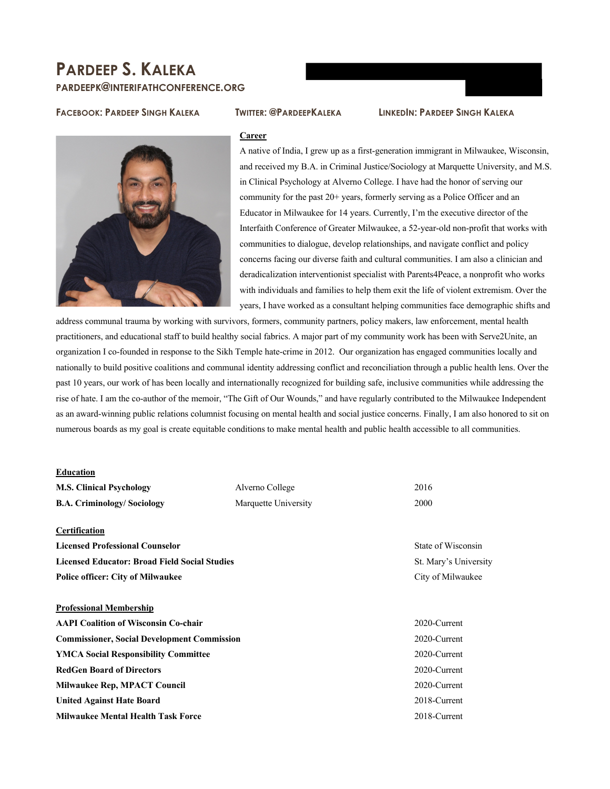# **PARDEEP S. KALEKA PARDEEPK@INTERIFATHCONFERENCE.ORG**

### **FACEBOOK: PARDEEP SINGH KALEKA TWITTER: @PARDEEPKALEKA LINKEDIN: PARDEEP SINGH KALEKA**



#### **Career**

A native of India, I grew up as a first-generation immigrant in Milwaukee, Wisconsin, and received my B.A. in Criminal Justice/Sociology at Marquette University, and M.S. in Clinical Psychology at Alverno College. I have had the honor of serving our community for the past 20+ years, formerly serving as a Police Officer and an Educator in Milwaukee for 14 years. Currently, I'm the executive director of the Interfaith Conference of Greater Milwaukee, a 52-year-old non-profit that works with communities to dialogue, develop relationships, and navigate conflict and policy concerns facing our diverse faith and cultural communities. I am also a clinician and deradicalization interventionist specialist with Parents4Peace, a nonprofit who works with individuals and families to help them exit the life of violent extremism. Over the years, I have worked as a consultant helping communities face demographic shifts and

address communal trauma by working with survivors, formers, community partners, policy makers, law enforcement, mental health practitioners, and educational staff to build healthy social fabrics. A major part of my community work has been with Serve2Unite, an organization I co-founded in response to the Sikh Temple hate-crime in 2012. Our organization has engaged communities locally and nationally to build positive coalitions and communal identity addressing conflict and reconciliation through a public health lens. Over the past 10 years, our work of has been locally and internationally recognized for building safe, inclusive communities while addressing the rise of hate. I am the co-author of the memoir, "The Gift of Our Wounds," and have regularly contributed to the Milwaukee Independent as an award-winning public relations columnist focusing on mental health and social justice concerns. Finally, I am also honored to sit on numerous boards as my goal is create equitable conditions to make mental health and public health accessible to all communities.

#### **Education**

| <b>M.S. Clinical Psychology</b>                      | Alverno College      | 2016                  |
|------------------------------------------------------|----------------------|-----------------------|
| <b>B.A. Criminology/Sociology</b>                    | Marquette University | 2000                  |
| <b>Certification</b>                                 |                      |                       |
| <b>Licensed Professional Counselor</b>               |                      | State of Wisconsin    |
| <b>Licensed Educator: Broad Field Social Studies</b> |                      | St. Mary's University |
| <b>Police officer: City of Milwaukee</b>             |                      | City of Milwaukee     |
| <b>Professional Membership</b>                       |                      |                       |
| <b>AAPI Coalition of Wisconsin Co-chair</b>          |                      | 2020-Current          |
| <b>Commissioner, Social Development Commission</b>   |                      | 2020-Current          |
| <b>YMCA Social Responsibility Committee</b>          |                      | 2020-Current          |
| <b>RedGen Board of Directors</b>                     |                      | 2020-Current          |
| Milwaukee Rep, MPACT Council                         |                      | 2020-Current          |
| <b>United Against Hate Board</b>                     |                      | 2018-Current          |
| <b>Milwaukee Mental Health Task Force</b>            |                      | 2018-Current          |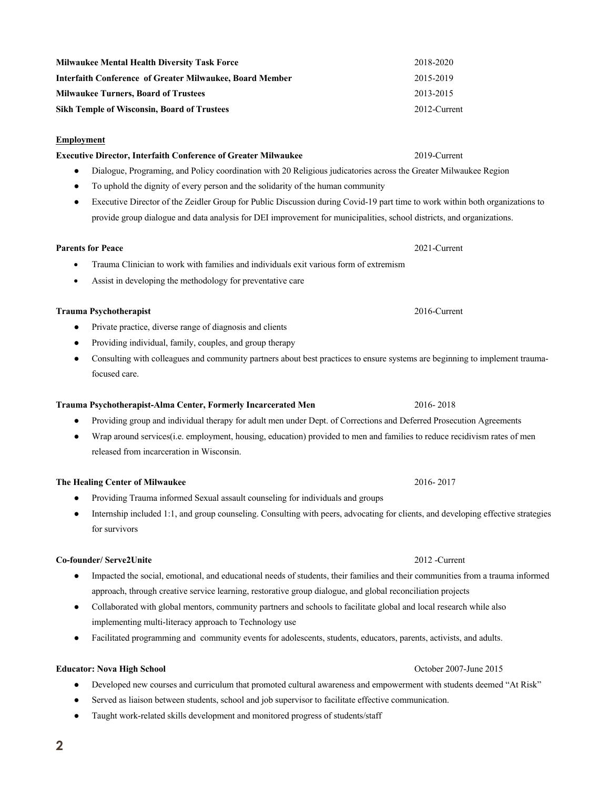**Milwaukee Mental Health Diversity Task Force** 2018-2020 **Interfaith Conference of Greater Milwaukee, Board Member** 2015-2019 **Milwaukee Turners, Board of Trustees** 2013-2015 **Sikh Temple of Wisconsin, Board of Trustees** 2012-Current

## **Employment**

## **Executive Director, Interfaith Conference of Greater Milwaukee** 2019-Current

## ● Dialogue, Programing, and Policy coordination with 20 Religious judicatories across the Greater Milwaukee Region

- To uphold the dignity of every person and the solidarity of the human community
- Executive Director of the Zeidler Group for Public Discussion during Covid-19 part time to work within both organizations to provide group dialogue and data analysis for DEI improvement for municipalities, school districts, and organizations.

## **Parents for Peace** 2021-Current

## • Trauma Clinician to work with families and individuals exit various form of extremism

• Assist in developing the methodology for preventative care

## **Trauma Psychotherapist** 2016-Current

- Private practice, diverse range of diagnosis and clients
- Providing individual, family, couples, and group therapy
- Consulting with colleagues and community partners about best practices to ensure systems are beginning to implement traumafocused care.

## **Trauma Psychotherapist-Alma Center, Formerly Incarcerated Men** 2016- 2018

- Providing group and individual therapy for adult men under Dept. of Corrections and Deferred Prosecution Agreements
- Wrap around services(i.e. employment, housing, education) provided to men and families to reduce recidivism rates of men released from incarceration in Wisconsin.

## **The Healing Center of Milwaukee** 2016- 2017

- Providing Trauma informed Sexual assault counseling for individuals and groups
- Internship included 1:1, and group counseling. Consulting with peers, advocating for clients, and developing effective strategies for survivors

## **Co-founder/ Serve2Unite** 2012 -Current

- Impacted the social, emotional, and educational needs of students, their families and their communities from a trauma informed approach, through creative service learning, restorative group dialogue, and global reconciliation projects
- Collaborated with global mentors, community partners and schools to facilitate global and local research while also implementing multi-literacy approach to Technology use
- Facilitated programming and community events for adolescents, students, educators, parents, activists, and adults.

## **Educator: Nova High School** October 2007-June 2015

- Developed new courses and curriculum that promoted cultural awareness and empowerment with students deemed "At Risk"
- Served as liaison between students, school and job supervisor to facilitate effective communication.
- Taught work-related skills development and monitored progress of students/staff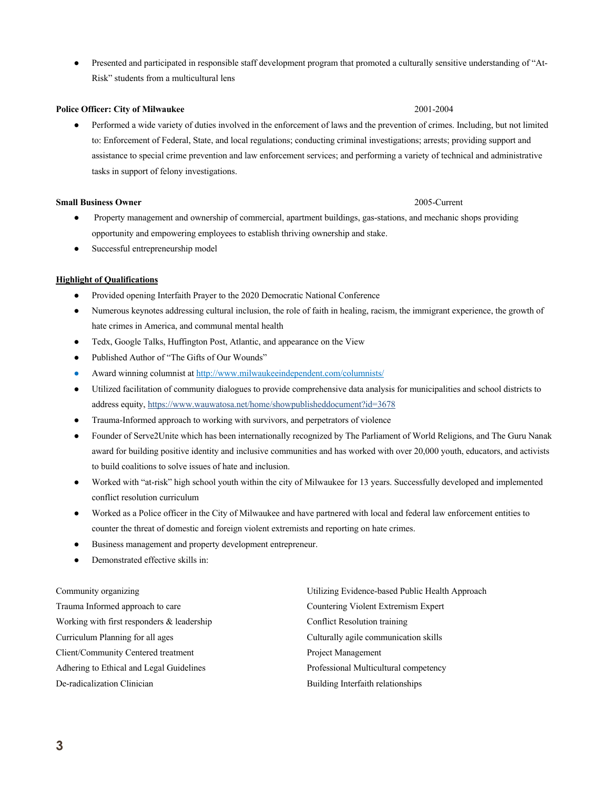● Presented and participated in responsible staff development program that promoted a culturally sensitive understanding of "At-Risk" students from a multicultural lens

### **Police Officer: City of Milwaukee** 2001-2004

● Performed a wide variety of duties involved in the enforcement of laws and the prevention of crimes. Including, but not limited to: Enforcement of Federal, State, and local regulations; conducting criminal investigations; arrests; providing support and assistance to special crime prevention and law enforcement services; and performing a variety of technical and administrative tasks in support of felony investigations.

### **Small Business Owner** 2005-Current

- Property management and ownership of commercial, apartment buildings, gas-stations, and mechanic shops providing opportunity and empowering employees to establish thriving ownership and stake.
- Successful entrepreneurship model

#### **Highlight of Qualifications**

- Provided opening Interfaith Prayer to the 2020 Democratic National Conference
- Numerous keynotes addressing cultural inclusion, the role of faith in healing, racism, the immigrant experience, the growth of hate crimes in America, and communal mental health
- Tedx, Google Talks, Huffington Post, Atlantic, and appearance on the View
- Published Author of "The Gifts of Our Wounds"
- Award winning columnist at http://www.milwaukeeindependent.com/columnists/
- Utilized facilitation of community dialogues to provide comprehensive data analysis for municipalities and school districts to address equity, https://www.wauwatosa.net/home/showpublisheddocument?id=3678
- Trauma-Informed approach to working with survivors, and perpetrators of violence
- Founder of Serve2Unite which has been internationally recognized by The Parliament of World Religions, and The Guru Nanak award for building positive identity and inclusive communities and has worked with over 20,000 youth, educators, and activists to build coalitions to solve issues of hate and inclusion.
- Worked with "at-risk" high school youth within the city of Milwaukee for 13 years. Successfully developed and implemented conflict resolution curriculum
- Worked as a Police officer in the City of Milwaukee and have partnered with local and federal law enforcement entities to counter the threat of domestic and foreign violent extremists and reporting on hate crimes.
- Business management and property development entrepreneur.
- Demonstrated effective skills in:

| Community organizing                       | Utilizing Evidence-based Public Health Approach |
|--------------------------------------------|-------------------------------------------------|
| Trauma Informed approach to care           | Countering Violent Extremism Expert             |
| Working with first responders & leadership | Conflict Resolution training                    |
| Curriculum Planning for all ages           | Culturally agile communication skills           |
| Client/Community Centered treatment        | Project Management                              |
| Adhering to Ethical and Legal Guidelines   | Professional Multicultural competency           |
| De-radicalization Clinician                | Building Interfaith relationships               |